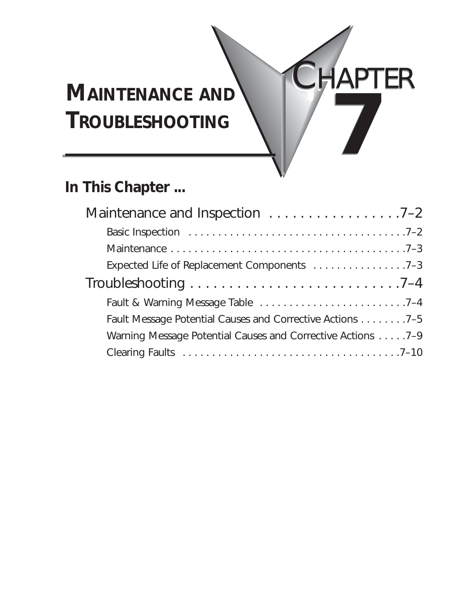# **MAINTENANCE AND TROUBLESHOOTING 7**

# **In This Chapter ...**

| Maintenance and Inspection 7-2                              |
|-------------------------------------------------------------|
|                                                             |
|                                                             |
| Expected Life of Replacement Components 7-3                 |
|                                                             |
|                                                             |
| Fault Message Potential Causes and Corrective Actions 7-5   |
| Warning Message Potential Causes and Corrective Actions 7-9 |
|                                                             |
|                                                             |

CHAPTER HAPTER

**7**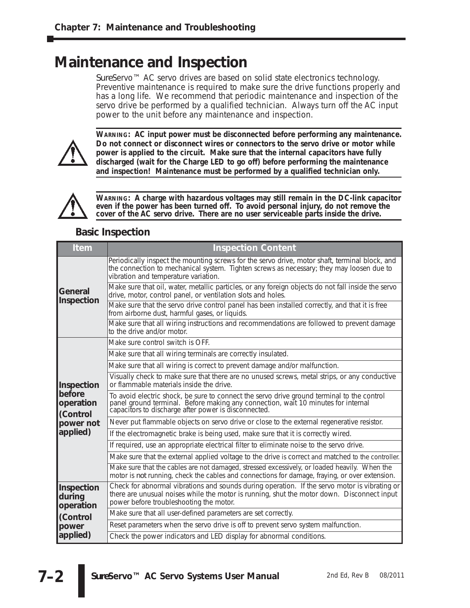# **Maintenance and Inspection**

*Sure*Servo™ AC servo drives are based on solid state electronics technology. Preventive maintenance is required to make sure the drive functions properly and has a long life. We recommend that periodic maintenance and inspection of the servo drive be performed by a qualified technician. Always turn off the AC input power to the unit before any maintenance and inspection.



**WARNING: AC input power must be disconnected before performing any maintenance. Do not connect or disconnect wires or connectors to the servo drive or motor while power is applied to the circuit. Make sure that the internal capacitors have fully discharged (wait for the Charge LED to go off) before performing the maintenance and inspection! Maintenance must be performed by a qualified technician only.**



**WARNING: A charge with hazardous voltages may still remain in the DC-link capacitor even if the power has been turned off. To avoid personal injury, do not remove the cover of the AC servo drive. There are no user serviceable parts inside the drive.**

#### **Basic Inspection**

| <b>Item</b>                       | <b>Inspection Content</b>                                                                                                                                                                                                              |
|-----------------------------------|----------------------------------------------------------------------------------------------------------------------------------------------------------------------------------------------------------------------------------------|
|                                   | Periodically inspect the mounting screws for the servo drive, motor shaft, terminal block, and<br>the connection to mechanical system. Tighten screws as necessary; they may loosen due to<br>vibration and temperature variation.     |
| General<br>Inspection             | Make sure that oil, water, metallic particles, or any foreign objects do not fall inside the servo<br>drive, motor, control panel, or ventilation slots and holes.                                                                     |
|                                   | Make sure that the servo drive control panel has been installed correctly, and that it is free<br>from airborne dust, harmful gases, or liquids.                                                                                       |
|                                   | Make sure that all wiring instructions and recommendations are followed to prevent damage<br>to the drive and/or motor.                                                                                                                |
|                                   | Make sure control switch is OFF.                                                                                                                                                                                                       |
|                                   | Make sure that all wiring terminals are correctly insulated.                                                                                                                                                                           |
|                                   | Make sure that all wiring is correct to prevent damage and/or malfunction.                                                                                                                                                             |
| Inspection                        | Visually check to make sure that there are no unused screws, metal strips, or any conductive<br>or flammable materials inside the drive.                                                                                               |
| before<br>operation<br>(Control   | To avoid electric shock, be sure to connect the servo drive ground terminal to the control panel ground terminal. Before making any connection, wait 10 minutes for internal capacitors to discharge after power is disconnect         |
| power not                         | Never put flammable objects on servo drive or close to the external regenerative resistor.                                                                                                                                             |
| applied)                          | If the electromagnetic brake is being used, make sure that it is correctly wired.                                                                                                                                                      |
|                                   | If required, use an appropriate electrical filter to eliminate noise to the servo drive.                                                                                                                                               |
|                                   | Make sure that the external applied voltage to the drive is correct and matched to the controller.                                                                                                                                     |
|                                   | Make sure that the cables are not damaged, stressed excessively, or loaded heavily. When the<br>motor is not running, check the cables and connections for damage, fraying, or over extension.                                         |
| Inspection<br>during<br>operation | Check for abnormal vibrations and sounds during operation. If the servo motor is vibrating or<br>there are unusual noises while the motor is running, shut the motor down. Disconnect input<br>power before troubleshooting the motor. |
| (Control                          | Make sure that all user-defined parameters are set correctly.                                                                                                                                                                          |
| power                             | Reset parameters when the servo drive is off to prevent servo system malfunction.                                                                                                                                                      |
| applied)                          | Check the power indicators and LED display for abnormal conditions.                                                                                                                                                                    |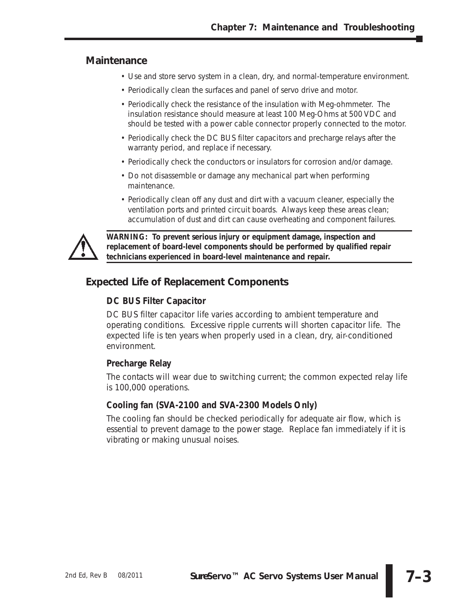#### **Maintenance**

- Use and store servo system in a clean, dry, and normal-temperature environment.
- Periodically clean the surfaces and panel of servo drive and motor.
- Periodically check the resistance of the insulation with Meg-ohmmeter. The insulation resistance should measure at least 100 Meg-Ohms at 500 VDC and should be tested with a power cable connector properly connected to the motor.
- Periodically check the DC BUS filter capacitors and precharge relays after the warranty period, and replace if necessary.
- Periodically check the conductors or insulators for corrosion and/or damage.
- Do not disassemble or damage any mechanical part when performing maintenance.
- Periodically clean off any dust and dirt with a vacuum cleaner, especially the ventilation ports and printed circuit boards. Always keep these areas clean; accumulation of dust and dirt can cause overheating and component failures.



*WARNING: To prevent serious injury or equipment damage, inspection and replacement of board-level components should be performed by qualified repair technicians experienced in board-level maintenance and repair.*

### **Expected Life of Replacement Components**

#### **DC BUS Filter Capacitor**

DC BUS filter capacitor life varies according to ambient temperature and operating conditions. Excessive ripple currents will shorten capacitor life. The expected life is ten years when properly used in a clean, dry, air-conditioned environment.

#### **Precharge Relay**

The contacts will wear due to switching current; the common expected relay life is 100,000 operations.

#### **Cooling fan (SVA-2100 and SVA-2300 Models Only)**

The cooling fan should be checked periodically for adequate air flow, which is essential to prevent damage to the power stage. Replace fan immediately if it is vibrating or making unusual noises.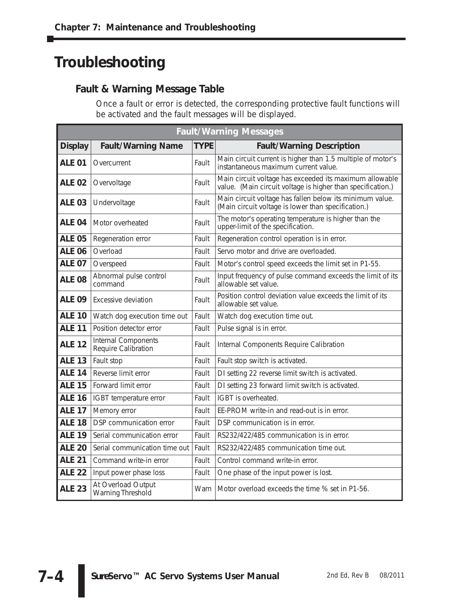# **Troubleshooting**

### **Fault & Warning Message Table**

Once a fault or error is detected, the corresponding protective fault functions will be activated and the fault messages will be displayed.

| <b>Fault/Warning Messages</b> |                                            |             |                                                                                                                        |
|-------------------------------|--------------------------------------------|-------------|------------------------------------------------------------------------------------------------------------------------|
| <b>Display</b>                | <b>Fault/Warning Name</b>                  | <b>TYPE</b> | <b>Fault/Warning Description</b>                                                                                       |
| <b>ALE 01</b>                 | Overcurrent                                | Fault       | Main circuit current is higher than 1.5 multiple of motor's<br>instantaneous maximum current value.                    |
| <b>ALE 02</b>                 | Overvoltage                                | Fault       | Main circuit voltage has exceeded its maximum allowable<br>value. (Main circuit voltage is higher than specification.) |
| <b>ALE 03</b>                 | Undervoltage                               | Fault       | Main circuit voltage has fallen below its minimum value.<br>(Main circuit voltage is lower than specification.)        |
| ALE 04                        | Motor overheated                           | Fault       | The motor's operating temperature is higher than the<br>upper-limit of the specification.                              |
| <b>ALE 05</b>                 | Regeneration error                         | Fault       | Regeneration control operation is in error.                                                                            |
| <b>ALE 06</b>                 | Overload                                   | Fault       | Servo motor and drive are overloaded.                                                                                  |
| <b>ALE 07</b>                 | Overspeed                                  | Fault       | Motor's control speed exceeds the limit set in P1-55.                                                                  |
| <b>ALE 08</b>                 | Abnormal pulse control<br>command          | Fault       | Input frequency of pulse command exceeds the limit of its<br>allowable set value.                                      |
| <b>ALE 09</b>                 | Excessive deviation                        | Fault       | Position control deviation value exceeds the limit of its<br>allowable set value.                                      |
| <b>ALE 10</b>                 | Watch dog execution time out               | Fault       | Watch dog execution time out.                                                                                          |
| <b>ALE 11</b>                 | Position detector error                    | Fault       | Pulse signal is in error.                                                                                              |
| <b>ALE 12</b>                 | Internal Components<br>Require Calibration | Fault       | Internal Components Require Calibration                                                                                |
| <b>ALE 13</b>                 | Fault stop                                 | Fault       | Fault stop switch is activated.                                                                                        |
| <b>ALE 14</b>                 | Reverse limit error                        | Fault       | DI setting 22 reverse limit switch is activated.                                                                       |
| <b>ALE 15</b>                 | Forward limit error                        | Fault       | DI setting 23 forward limit switch is activated.                                                                       |
| <b>ALE 16</b>                 | IGBT temperature error                     | Fault       | IGBT is overheated.                                                                                                    |
| <b>ALE 17</b>                 | Memory error                               | Fault       | EE-PROM write-in and read-out is in error.                                                                             |
| <b>ALE 18</b>                 | DSP communication error                    | Fault       | DSP communication is in error.                                                                                         |
| <b>ALE 19</b>                 | Serial communication error                 | Fault       | RS232/422/485 communication is in error.                                                                               |
| <b>ALE 20</b>                 | Serial communication time out              | Fault       | RS232/422/485 communication time out.                                                                                  |
| <b>ALE 21</b>                 | Command write-in error                     | Fault       | Control command write-in error.                                                                                        |
| <b>ALE 22</b>                 | Input power phase loss                     | Fault       | One phase of the input power is lost.                                                                                  |
| <b>ALE 23</b>                 | At Overload Output<br>Warning Threshold    | Warn        | Motor overload exceeds the time % set in P1-56.                                                                        |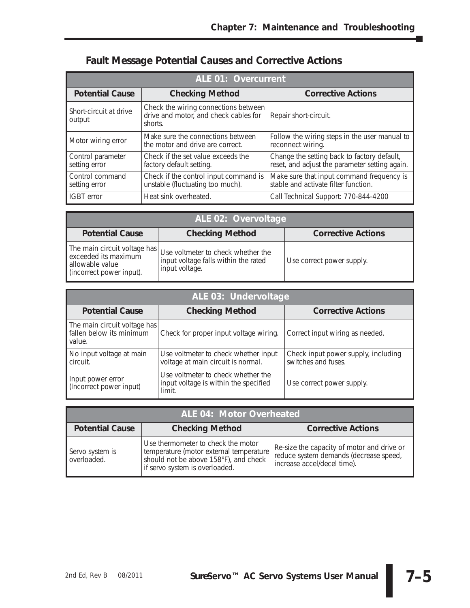| <b>ALE 01: Overcurrent</b>         |                                                                                          |                                                                                               |
|------------------------------------|------------------------------------------------------------------------------------------|-----------------------------------------------------------------------------------------------|
| <b>Potential Cause</b>             | <b>Checking Method</b>                                                                   | <b>Corrective Actions</b>                                                                     |
| Short-circuit at drive<br>output   | Check the wiring connections between<br>drive and motor, and check cables for<br>shorts. | Repair short-circuit.                                                                         |
| Motor wiring error                 | Make sure the connections between<br>the motor and drive are correct.                    | Follow the wiring steps in the user manual to<br>reconnect wiring.                            |
| Control parameter<br>setting error | Check if the set value exceeds the<br>factory default setting.                           | Change the setting back to factory default,<br>reset, and adjust the parameter setting again. |
| Control command<br>setting error   | Check if the control input command is<br>unstable (fluctuating too much).                | Make sure that input command frequency is<br>stable and activate filter function.             |
| <b>IGBT</b> error                  | Heat sink overheated.                                                                    | Call Technical Support: 770-844-4200                                                          |

# **Fault Message Potential Causes and Corrective Actions**

| ALE 02: Overvoltage                                                                                 |                                                                                              |                           |
|-----------------------------------------------------------------------------------------------------|----------------------------------------------------------------------------------------------|---------------------------|
| <b>Potential Cause</b>                                                                              | <b>Checking Method</b>                                                                       | <b>Corrective Actions</b> |
| The main circuit voltage has<br>exceeded its maximum<br>allowable value<br>(incorrect power input). | Use voltmeter to check whether the<br>input voltage falls within the rated<br>input voltage. | Use correct power supply. |

| ALE 03: Undervoltage                                               |                                                                                       |                                                            |  |
|--------------------------------------------------------------------|---------------------------------------------------------------------------------------|------------------------------------------------------------|--|
| <b>Potential Cause</b>                                             | <b>Checking Method</b>                                                                | <b>Corrective Actions</b>                                  |  |
| The main circuit voltage has<br>fallen below its minimum<br>value. | Check for proper input voltage wiring.                                                | Correct input wiring as needed.                            |  |
| No input voltage at main<br>circuit.                               | Use voltmeter to check whether input<br>voltage at main circuit is normal.            | Check input power supply, including<br>switches and fuses. |  |
| Input power error<br>(Incorrect power input)                       | Use voltmeter to check whether the<br>input voltage is within the specified<br>limit. | Use correct power supply.                                  |  |

| ALE 04: Motor Overheated       |                                                                                                                                                          |                                                                                                                     |  |
|--------------------------------|----------------------------------------------------------------------------------------------------------------------------------------------------------|---------------------------------------------------------------------------------------------------------------------|--|
| <b>Potential Cause</b>         | <b>Checking Method</b>                                                                                                                                   | <b>Corrective Actions</b>                                                                                           |  |
| Servo system is<br>overloaded. | Use thermometer to check the motor<br>temperature (motor external temperature<br>should not be above 158°F), and check<br>if servo system is overloaded. | Re-size the capacity of motor and drive or<br>reduce system demands (decrease speed,<br>increase accel/decel time). |  |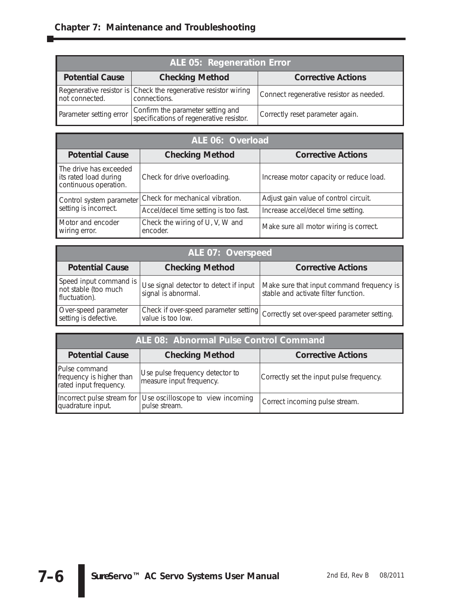| ALE 05: Regeneration Error |                                                                                 |                                          |
|----------------------------|---------------------------------------------------------------------------------|------------------------------------------|
| <b>Potential Cause</b>     | <b>Checking Method</b>                                                          | <b>Corrective Actions</b>                |
| not connected.             | Regenerative resistor is Check the regenerative resistor wiring<br>connections. | Connect regenerative resistor as needed. |
| Parameter setting error    | Confirm the parameter setting and<br>specifications of regenerative resistor.   | Correctly reset parameter again.         |

| ALE 06: Overload                                                         |                                             |                                         |  |
|--------------------------------------------------------------------------|---------------------------------------------|-----------------------------------------|--|
| <b>Potential Cause</b>                                                   | <b>Checking Method</b>                      | <b>Corrective Actions</b>               |  |
| The drive has exceeded<br>its rated load during<br>continuous operation. | Check for drive overloading.                | Increase motor capacity or reduce load. |  |
| Control system parameter                                                 | Check for mechanical vibration.             | Adjust gain value of control circuit.   |  |
| setting is incorrect.                                                    | Accel/decel time setting is too fast.       | Increase accel/decel time setting.      |  |
| Motor and encoder<br>wiring error.                                       | Check the wiring of U, V, W and<br>encoder. | Make sure all motor wiring is correct.  |  |

| ALE 07: Overspeed                                               |                                                               |                                                                                   |  |
|-----------------------------------------------------------------|---------------------------------------------------------------|-----------------------------------------------------------------------------------|--|
| <b>Potential Cause</b>                                          | <b>Checking Method</b>                                        | <b>Corrective Actions</b>                                                         |  |
| Speed input command is<br>not stable (too much<br>fluctuation). | Use signal detector to detect if input<br>signal is abnormal. | Make sure that input command frequency is<br>stable and activate filter function. |  |
| Over-speed parameter<br>setting is defective.                   | Check if over-speed parameter setting<br>value is too low.    | Correctly set over-speed parameter setting.                                       |  |

| ALE 08: Abnormal Pulse Control Command                                        |                                                             |                                          |
|-------------------------------------------------------------------------------|-------------------------------------------------------------|------------------------------------------|
| <b>Checking Method</b><br><b>Potential Cause</b><br><b>Corrective Actions</b> |                                                             |                                          |
| Pulse command<br>frequency is higher than<br>rated input frequency.           | Use pulse frequency detector to<br>measure input frequency. | Correctly set the input pulse frequency. |
| Incorrect pulse stream for<br>quadrature input.                               | Use oscilloscope to view incoming<br>pulse stream.          | Correct incoming pulse stream.           |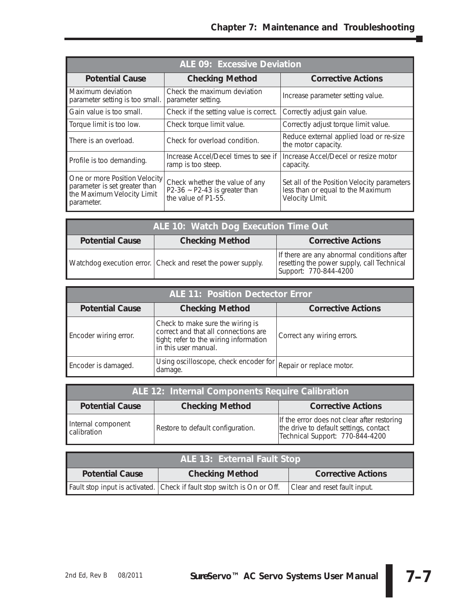| <b>ALE 09: Excessive Deviation</b>                                                                         |                                                                                             |                                                                                                     |
|------------------------------------------------------------------------------------------------------------|---------------------------------------------------------------------------------------------|-----------------------------------------------------------------------------------------------------|
| <b>Potential Cause</b>                                                                                     | <b>Checking Method</b>                                                                      | <b>Corrective Actions</b>                                                                           |
| Maximum deviation<br>parameter setting is too small.                                                       | Check the maximum deviation<br>parameter setting.                                           | Increase parameter setting value.                                                                   |
| Gain value is too small.                                                                                   | Check if the setting value is correct.                                                      | Correctly adjust gain value.                                                                        |
| Torque limit is too low.                                                                                   | Check torque limit value.                                                                   | Correctly adjust torque limit value.                                                                |
| There is an overload.                                                                                      | Check for overload condition.                                                               | Reduce external applied load or re-size<br>the motor capacity.                                      |
| Profile is too demanding.                                                                                  | Increase Accel/Decel times to see if<br>ramp is too steep.                                  | Increase Accel/Decel or resize motor<br>capacity.                                                   |
| One or more Position Velocity<br>parameter is set greater than<br>the Maximum Velocity Limit<br>parameter. | Check whether the value of any<br>P2-36 $\sim$ P2-43 is greater than<br>the value of P1-55. | Set all of the Position Velocity parameters<br>less than or equal to the Maximum<br>Velocity Llmit. |

| ALE 10: Watch Dog Execution Time Out                                          |                                                             |                                                                                                                   |
|-------------------------------------------------------------------------------|-------------------------------------------------------------|-------------------------------------------------------------------------------------------------------------------|
| <b>Checking Method</b><br><b>Potential Cause</b><br><b>Corrective Actions</b> |                                                             |                                                                                                                   |
|                                                                               | Watchdog execution error. Check and reset the power supply. | If there are any abnormal conditions after<br>resetting the power supply, call Technical<br>Support: 770-844-4200 |

| <b>ALE 11: Position Dectector Error</b> |                                                                                                                                            |                            |
|-----------------------------------------|--------------------------------------------------------------------------------------------------------------------------------------------|----------------------------|
| <b>Potential Cause</b>                  | <b>Checking Method</b>                                                                                                                     | <b>Corrective Actions</b>  |
| Encoder wiring error.                   | Check to make sure the wiring is<br>correct and that all connections are<br>tight; refer to the wiring information<br>in this user manual. | Correct any wiring errors. |
| Encoder is damaged.                     | Using oscilloscope, check encoder for<br>damage.                                                                                           | Repair or replace motor.   |

| ALE 12: Internal Components Require Calibration                               |                                   |                                                                                                                          |
|-------------------------------------------------------------------------------|-----------------------------------|--------------------------------------------------------------------------------------------------------------------------|
| <b>Checking Method</b><br><b>Corrective Actions</b><br><b>Potential Cause</b> |                                   |                                                                                                                          |
| Internal component<br>calibration                                             | Restore to default configuration. | If the error does not clear after restoring<br>the drive to default settings, contact<br>Technical Support: 770-844-4200 |

| ALE 13: External Fault Stop |                                                                         |                              |
|-----------------------------|-------------------------------------------------------------------------|------------------------------|
| <b>Potential Cause</b>      | <b>Checking Method</b>                                                  | <b>Corrective Actions</b>    |
|                             | Fault stop input is activated. Check if fault stop switch is On or Off. | Clear and reset fault input. |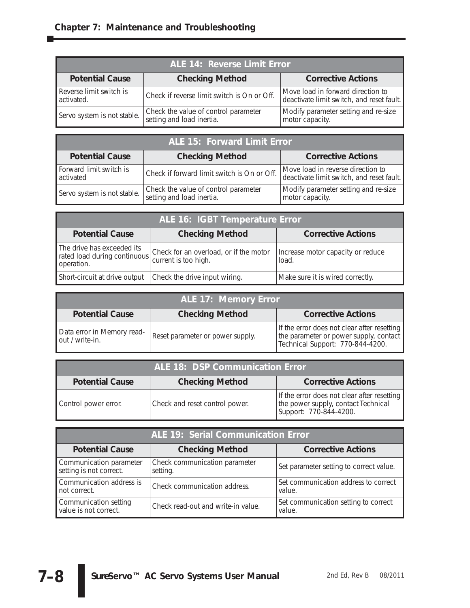| ALE 14: Reverse Limit Error           |                                                                   |                                                                                |
|---------------------------------------|-------------------------------------------------------------------|--------------------------------------------------------------------------------|
| <b>Potential Cause</b>                | <b>Checking Method</b>                                            | <b>Corrective Actions</b>                                                      |
| Reverse limit switch is<br>activated. | Check if reverse limit switch is On or Off.                       | Move load in forward direction to<br>deactivate limit switch, and reset fault. |
| Servo system is not stable.           | Check the value of control parameter<br>setting and load inertia. | Modify parameter setting and re-size<br>motor capacity.                        |

| <b>ALE 15: Forward Limit Error</b>   |                                                                   |                                                                                |
|--------------------------------------|-------------------------------------------------------------------|--------------------------------------------------------------------------------|
| <b>Potential Cause</b>               | <b>Checking Method</b>                                            | <b>Corrective Actions</b>                                                      |
| Forward limit switch is<br>activated | Check if forward limit switch is On or Off.                       | Move load in reverse direction to<br>deactivate limit switch, and reset fault. |
| Servo system is not stable.          | Check the value of control parameter<br>setting and load inertia. | Modify parameter setting and re-size<br>motor capacity.                        |

| ALE 16: IGBT Temperature Error                                           |                                                                |                                            |
|--------------------------------------------------------------------------|----------------------------------------------------------------|--------------------------------------------|
| <b>Potential Cause</b>                                                   | <b>Checking Method</b>                                         | <b>Corrective Actions</b>                  |
| The drive has exceeded its<br>rated load during continuous<br>operation. | Check for an overload, or if the motor<br>current is too high. | Increase motor capacity or reduce<br>load. |
| Short-circuit at drive output                                            | Check the drive input wiring.                                  | Make sure it is wired correctly.           |

| ALE 17: Memory Error                          |                                  |                                                                                                                           |
|-----------------------------------------------|----------------------------------|---------------------------------------------------------------------------------------------------------------------------|
| <b>Potential Cause</b>                        | <b>Checking Method</b>           | <b>Corrective Actions</b>                                                                                                 |
| Data error in Memory read-<br>out / write-in. | Reset parameter or power supply. | If the error does not clear after resetting<br>the parameter or power supply, contact<br>Technical Support: 770-844-4200. |

| <b>ALE 18: DSP Communication Error</b> |                                |                                                                                                                |
|----------------------------------------|--------------------------------|----------------------------------------------------------------------------------------------------------------|
| <b>Potential Cause</b>                 | <b>Checking Method</b>         | <b>Corrective Actions</b>                                                                                      |
| Control power error.                   | Check and reset control power. | If the error does not clear after resetting  <br>the power supply, contact Technical<br>Support: 770-844-4200. |

| <b>ALE 19: Serial Communication Error</b>          |                                           |                                                |
|----------------------------------------------------|-------------------------------------------|------------------------------------------------|
| <b>Potential Cause</b>                             | <b>Checking Method</b>                    | <b>Corrective Actions</b>                      |
| Communication parameter<br>setting is not correct. | Check communication parameter<br>setting. | Set parameter setting to correct value.        |
| Communication address is<br>not correct.           | Check communication address.              | Set communication address to correct<br>value. |
| Communication setting<br>value is not correct.     | Check read-out and write-in value.        | Set communication setting to correct<br>value. |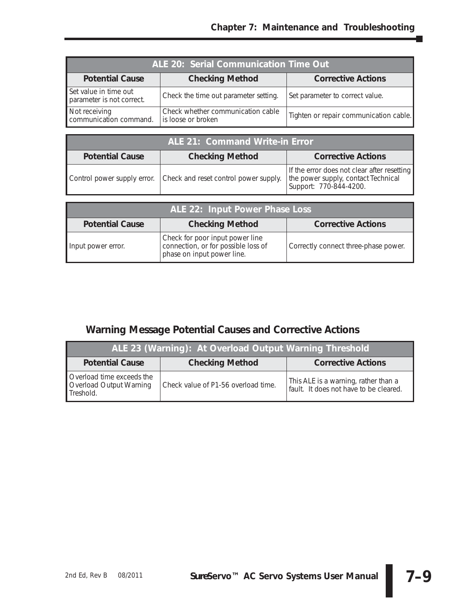| ALE 20: Serial Communication Time Out              |                                                         |                                        |
|----------------------------------------------------|---------------------------------------------------------|----------------------------------------|
| <b>Potential Cause</b>                             | <b>Checking Method</b>                                  | <b>Corrective Actions</b>              |
| Set value in time out<br>parameter is not correct. | Check the time out parameter setting.                   | Set parameter to correct value.        |
| Not receiving<br>communication command.            | Check whether communication cable<br>is loose or broken | Tighten or repair communication cable. |

| ALE 21: Command Write-in Error |                                                                   |                                                                                                              |
|--------------------------------|-------------------------------------------------------------------|--------------------------------------------------------------------------------------------------------------|
| <b>Potential Cause</b>         | <b>Checking Method</b>                                            | <b>Corrective Actions</b>                                                                                    |
|                                | Control power supply error. Check and reset control power supply. | If the error does not clear after resetting<br>the power supply, contact Technical<br>Support: 770-844-4200. |

| ALE 22: Input Power Phase Loss |                                                                                                      |                                      |  |  |
|--------------------------------|------------------------------------------------------------------------------------------------------|--------------------------------------|--|--|
| <b>Potential Cause</b>         | <b>Checking Method</b>                                                                               | <b>Corrective Actions</b>            |  |  |
| Input power error.             | Check for poor input power line<br>connection, or for possible loss of<br>phase on input power line. | Correctly connect three-phase power. |  |  |

## **Warning Message Potential Causes and Corrective Actions**

| ALE 23 (Warning): At Overload Output Warning Threshold            |                                     |                                                                                |  |  |
|-------------------------------------------------------------------|-------------------------------------|--------------------------------------------------------------------------------|--|--|
| <b>Potential Cause</b>                                            | <b>Checking Method</b>              | <b>Corrective Actions</b>                                                      |  |  |
| Overload time exceeds the<br>Overload Output Warning<br>Treshold. | Check value of P1-56 overload time. | This ALE is a warning, rather than a<br>fault. It does not have to be cleared. |  |  |